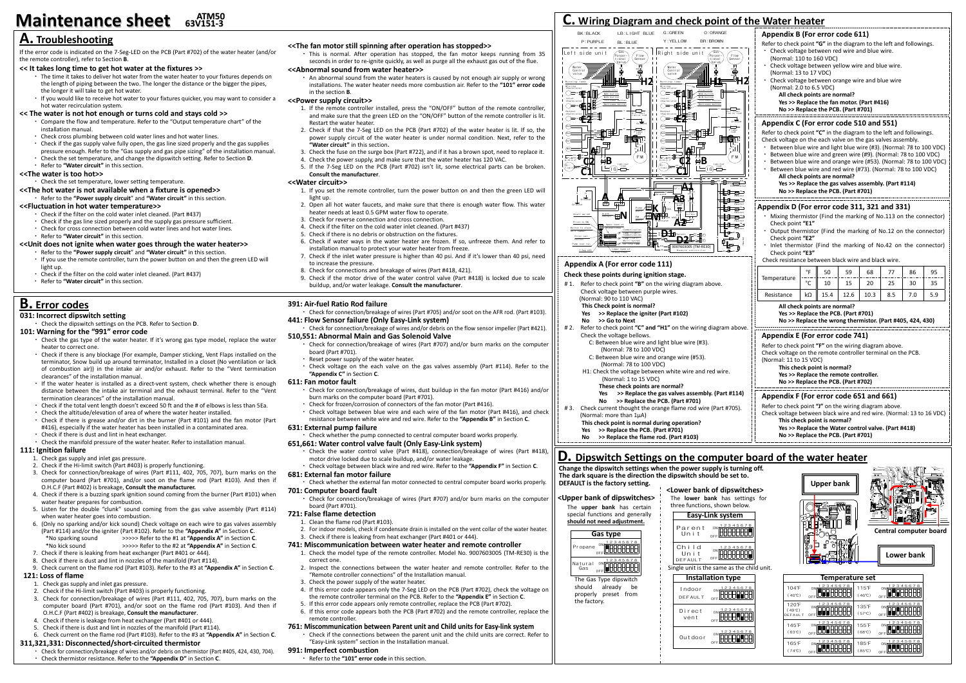If the error code is indicated on the 7‐Seg‐LED on the PCB (Part #702) of the water heater (and/or the remote controller), refer to Section **B**.

# **<< It takes long time to get hot water at the fixtures >>**

- ・ The time it takes to deliver hot water from the water heater to your fixtures depends on the length of piping between the two. The longer the distance or the bigger the pipes,
- the longer it will take to get hot water. ・ If you would like to receive hot water to your fixtures quicker, you may want to consider <sup>a</sup> hot water recirculation system.

# **<< The water is not hot enough or turns cold and stays cold >>**

- ・ Compare the flow and temperature. Refer to the "Output temperature chart" of the installation manual.
- ・ Check cross plumbing between cold water lines and hot water lines.
- ・ Check if the gas supply valve fully open, the gas line sized properly and the gas supplies pressure enough. Refer to the "Gas supply and gas pipe sizing" of the installation manual.
- ・ Check the set temperature, and change the dipswitch setting. Refer to Section **D**. ・ Refer to **"Water circuit"** in this section.

## **<<The water is too hot>>**

### ・ Check the set temperature, lower setting temperature.

# **<<The hot water is not available when <sup>a</sup> fixture is opened>>**

・ Refer to the **"Power supply circuit**" and **"Water circuit"** in this section.

## **<<Fluctuation in hot water temperature>>**

- ・ Check if the filter on the cold water inlet cleaned. (Part #437)
- ・ Check if the gas line sized properly and the supply gas pressure sufficient.
- ・ Check for cross connection between cold water lines and hot water lines. ・ Refer to **"Water circuit"** in this section.

# **<<Unit does not ignite when water goes through the water heater>>**

- ・ Refer to the **"Power supply circuit**" and **"Water circuit"** in this section. ・ If you use the remote controller, turn the power button on and then the green LED will light up.
- ・ Check if the filter on the cold water inlet cleaned. (Part #437)
- ・ Refer to **"Water circuit"** in this section.

# **B. Error codes**

## **031: Incorrect dipswitch setting**

・ Check the dipswitch settings on the PCB. Refer to Section **D**.

## **101: Warning for the "991" error code**

- ・ Check the gas type of the water heater. If it's wrong gas type model, replace the water heater to correct one.
- ・ Check if there is any blockage (For example, Damper sticking, Vent Flaps installed on the terminator, Snow build up around terminator, Installed in <sup>a</sup> closet (No ventilation or lack of combustion air)) in the intake air and/or exhaust. Refer to the "Vent termination clearances" of the installation manual.
- ・ If the water heater is installed as <sup>a</sup> direct‐vent system, check whether there is enough distance between the intake air terminal and the exhaust terminal. Refer to the "Vent termination clearances" of the installation manual.
- ・ Check if the total vent length doesn't exceed 50 ft and the # of elbows is less than 5Ea.
- ・ Check the altitude/elevation of area of where the water heater installed.
- ・ Check if there is grease and/or dirt in the burner (Part #101) and the fan motor (Part #416), especially if the water heater has been installed in <sup>a</sup> contaminated area.
- ・ Check if there is dust and lint in heat exchanger.

### ・ Check the manifold pressure of the water heater. Refer to installation manual.

## **111: Ignition failure**

- 1. Check gas supply and inlet gas pressure.
- 2. Check if the Hi‐limit switch (Part #403) is properly functioning.
- 3. Check for connection/breakage of wires (Part #111, 402, 705, 707), burn marks on the computer board (Part #701), and/or soot on the flame rod (Part #103). And then if O.H.C.F (Part #402) is breakage, **Consult the manufacturer.**
- 4. Check if there is <sup>a</sup> buzzing spark ignition sound coming from the burner (Part #101) when water heater prepares for combustion.
- 5. Listen for the double "clunk" sound coming from the gas valve assembly (Part #114) when water heater goes into combustion.
- 6. (Only no sparking and/or kick sound) Check voltage on each wire to gas valves assembly (Part #114) and/or the igniter (Part #102). Refer to the **"Appendix A"** in Section **C**. \*Nosparking sound >>>>> Refer to the #1 at **"Appendix A"** in Section **C**.
- \*No kick sound kick sound >>>>> Refer to the #2 at **"Appendix A"** in Section **C**.
- 7. Check if there is leaking from heat exchanger (Part #401 or 444).
- 8. Check if there is dust and lint in nozzles of the manifold (Part #114).
- 9. Check current on the flame rod (Part #103). Refer to the #3 at **"Appendix A"** in Section **C**.

# **121: Loss of flame**

- 1. Check gas supply and inlet gas pressure.
- 2. Check if the Hi‐limit switch (Part #403) is properly functioning.
- 3. Check for connection/breakage of wires (Part #111, 402, 705, 707), burn marks on the computer board (Part #701), and/or soot on the flame rod (Part #103). And then if O.H.C.F (Part #402) is breakage, **Consult the manufacturer**.
- 4.Check if there is leakage from heat exchanger (Part #401 or 444).
- 5.Check if there is dust and lint in nozzles of the manifold (Part #114).
- 6. Check current on the flame rod (Part #103). Refer to the #3 at **"Appendix A"** in Section **C**.

- **311,321,331: Disconnected/short‐circuited thermistor**
	- ・ Check for connection/breakage of wires and/or debris on thermistor (Part #405, 424, 430, 704). ・ Check thermistor resistance. Refer to the **"Appendix D"** in Section **C**.

# **A. Troubleshooting**

# **391: Air‐fuel Ratio Rod failure**

### ・ Check for connection/breakage of wires (Part #705) and/or soot on the AFR rod. (Part #103). **441: Flow Sensor failure (Only Easy‐Link system)**

・ Check for connection/breakage of wires and/or debris on the flow sensor impeller (Part #421). **510,551: Abnormal Main and Gas Solenoid Valve**

- ・ Check for connection/breakage of wires (Part #707) and/or burn marks on the computer board (Part #701).
- ・ Reset power supply of the water heater.
- ・ Check voltage on the each valve on the gas valves assembly (Part #114). Refer to the **"Appendix C"** in Section **C**.

### **611: Fan motor fault**

- ・ Check for connection/breakage of wires, dust buildup in the fan motor (Part #416) and/or burn marks on the computer board (Part #701).
- ・ Check for frozen/corrosion of connectors of the fan motor (Part #416).
- ・ Check voltage between blue wire and each wire of the fan motor (Part #416), and check
- resistance between white wire and red wire. Refer to the **"Appendix B"** in Section **C**.

### **631: External pump failure**

- ・ Check whether the pump connected to central computer board works properly.
- **651,661: Water control valve fault (Only Easy‐Link system)** ・ Check the water control valve (Part #418), connection/breakage of wires (Part #418), motor drive locked due to scale buildup, and/or water leakage.
	- ・ Check voltage between black wire and red wire. Refer to the **"Appendix F"** in Section **C**.

# **681: External fan motor failure**

# **Maintenance sheet** 63V151-3 **AT M 5 0**

・ Check whether the external fan motor connected to central computer board works properly.

# **701: Computer board fault**

 2 3 $\blacksquare$   $\blacksquare$   $\blacksquare$   $\blacksquare$   $\blacksquare$   $\blacksquare$ 

・ Check for connection/breakage of wires (Part #707) and/or burn marks on the computer board (Part #701).

### **721: False flame detection**

- 1. Clean the flame rod (Part #103).
- 2. For indoor models, check if condensate drain is installed on the vent collar of the water heater.

OFF83<u>45678 nn 12345678</u><br>Outdoor <sup>on</sup> FIFIFIEL

### 3. Check if there is leaking from heat exchanger (Part #401 or 444). **741: Miscommunication between water heater and remote controller**

1. Check the model type of the remote controller. Model No. 9007603005 (TM‐RE30) is the

correct one.

2. Inspect the connections between the water heater and remote controller. Refer to the

"Remote controller connections" of the Installation manual.

3. Check the power supply of the water heater.

4. If this error code appears only the 7‐Seg LED on the PCB (Part #702), check the voltage on the remote controller terminal on the PCB. Refer to the **"Appendix E"** in Section **C**. 5. If this error code appears only remote controller, replace the PCB (Part #702).

6. If this error code appears both the PCB (Part #702) and the remote controller, replace the

remote controller.

**761: Miscommunication between Parent unit and Child units for Easy‐link system**

・ Check if the connections between the parent unit and the child units are correct. Refer to

"Easy‐Link system" section in the Installation manual.

**991: Imperfect combustion**

・ Refer to the **"101" error code** in this section.

# **<<The fan motor still spinning after operation has stopped>>**

・ This is normal. After operation has stopped, the fan motor keeps running from 35 seconds in order to re‐ignite quickly, as well as purge all the exhaust gas out of the flue.

# **<<Abnormal sound from water heater>>**

・ An abnormal sound from the water heaters is caused by not enough air supply or wrong installations. The water heater needs more combustion air. Refer to the **"101" error code** in the section **B**.

### **<<Power supply circuit>>**

- 1. If the remote controller installed, press the "ON/OFF" button of the remote controller, and make sure that the green LED on the "ON/OFF" button of the remote controller is lit. Restart the water heater.
- 2. Check if that the 7‐Seg LED on the PCB (Part #702) of the water heater is lit. If so, the power supply circuit of the water heater is under normal condition. Next, refer to the **"Water circuit"** in this section**.**
- 3. Check the fuse on the surge box (Part #722), and if it has <sup>a</sup> brown spot, need to replace it.
- 4. Check the power supply, and make sure that the water heater has 120 VAC.
- 5. If the 7‐Seg LED on the PCB (Part #702) isn't lit, some electrical parts can be broken.

### **Consult the manufacturer**. **<<Water circuit>>**

- 1. If you set the remote controller, turn the power button on and then the green LED will light up.
- 2. Open all hot water faucets, and make sure that there is enough water flow. This water heater needs at least 0.5 GPM water flow to operate.
- 3. Check for reverse connection and cross connection.
- 4. Check if the filter on the cold water inlet cleaned. (Part #437)
- 5. Check if there is no debris or obstruction on the fixtures.
- 6. Check if water ways in the water heater are frozen. If so, unfreeze them. And refer to installation manual to protect your water heater from freeze.
- 7. Check if the inlet water pressure is higher than 40 psi. And if it's lower than 40 psi, need to increase the pressure.
- 8. Check for connections and breakage of wires (Part #418, 421).
- 9. Check if the motor drive of the water control valve (Part #418) is locked due to scale buildup, and/or water leakage. **Consult the manufacturer**.

| <b>C.</b> Wiring Diagram and check point of the Water heater                                                 |                                                                                    |                                                                                                                                       |                                    |                                    |                        |                    |     |            |                               |  |
|--------------------------------------------------------------------------------------------------------------|------------------------------------------------------------------------------------|---------------------------------------------------------------------------------------------------------------------------------------|------------------------------------|------------------------------------|------------------------|--------------------|-----|------------|-------------------------------|--|
| LB:LIGHT BLUE<br><b>BK: BLACK</b>                                                                            | G; GREEN<br>0: ORANGE                                                              | Appendix B (For error code 611)                                                                                                       |                                    |                                    |                        |                    |     |            |                               |  |
| P:PURPLE<br><b>BL: BLUE</b>                                                                                  | Y: YELLOW<br><b>BR: BROWN</b>                                                      | Refer to check point "G" in the diagram to the left and followings.                                                                   |                                    |                                    |                        |                    |     |            |                               |  |
| Left side unit                                                                                               | Right side unit                                                                    | Check voltage between red wire and blue wire.                                                                                         |                                    |                                    |                        |                    |     |            |                               |  |
| Porpor<br>Flow<br>Sensor<br>tional                                                                           | Porpor<br>Flow<br>Sensor<br>tional                                                 | (Normal: 110 to 160 VDC)                                                                                                              |                                    |                                    |                        |                    |     |            |                               |  |
| Water<br>Control<br>valve                                                                                    | Water<br>Control<br>valve                                                          | Check voltage between yellow wire and blue wire.<br>(Normal: 13 to 17 VDC)                                                            |                                    |                                    |                        |                    |     |            |                               |  |
| ℍ<br>н                                                                                                       | Η2                                                                                 | Check voltage between orange wire and blue wire                                                                                       |                                    |                                    |                        |                    |     |            |                               |  |
| Mixing<br>thermist<br>、戸                                                                                     | <b>Extends</b><br>यन1<br>MAX buttor                                                | (Normal: 2.0 to 6.5 VDC)                                                                                                              |                                    |                                    |                        |                    |     |            |                               |  |
| MIN button<br>Inlet<br>therm<br>a button                                                                     | MIN but ton                                                                        | All check points are normal?<br>Yes >> Replace the fan motor. (Part #416)                                                             |                                    |                                    |                        |                    |     |            |                               |  |
| $\frac{1}{\sqrt{1-t}}$<br>Outpu<br>Outpu                                                                     | Air-fuel<br>ratio roo                                                              | No >> Replace the PCB. (Part #701)                                                                                                    |                                    |                                    |                        |                    |     |            |                               |  |
| atio rod<br>around                                                                                           | $\frac{1}{\arcsin \alpha}$                                                         | Appendix C (For error code 510 and 551)                                                                                               |                                    |                                    |                        |                    |     |            |                               |  |
| (∾)<br>(sv3)<br>☜<br>(∾)                                                                                     | $rac{1}{100}$                                                                      |                                                                                                                                       |                                    |                                    |                        |                    |     |            |                               |  |
| ⊫<br>o<br>⊛ऐ<br>(svi)                                                                                        | i lank                                                                             | Refer to check point "C" in the diagram to the left and followings.<br>Check voltage on the each valve on the gas valves assembly.    |                                    |                                    |                        |                    |     |            |                               |  |
| A®                                                                                                           |                                                                                    | Between blue wire and light blue wire (#3). (Normal: 78 to 100 VDC)<br>Between blue wire and green wire (#9). (Normal: 78 to 100 VDC) |                                    |                                    |                        |                    |     |            |                               |  |
| F <sub>M</sub><br>ίB<br>Igni ter                                                                             | FM<br>В<br>lgniter                                                                 | Between blue wire and orange wire (#53). (Normal: 78 to 100 VDC)                                                                      |                                    |                                    |                        |                    |     |            |                               |  |
| I G                                                                                                          | ์ I G)                                                                             | • Between blue wire and red wire (#73). (Normal: 78 to 100 VDC)                                                                       |                                    |                                    |                        |                    |     |            |                               |  |
|                                                                                                              | BK-ES <sup>BK</sup><br>Thermostat                                                  | All check points are normal?                                                                                                          |                                    |                                    |                        |                    |     |            |                               |  |
|                                                                                                              | A.<br>☎"┘                                                                          | Yes >> Replace the gas valves assembly. (Part #114)<br>No >> Replace the PCB. (Part #701)                                             |                                    |                                    |                        |                    |     |            |                               |  |
| $\frac{1}{\alpha r \alpha \ln c}$<br>畵<br>ြစုစုစုစု<br>Ground                                                | ▥                                                                                  |                                                                                                                                       |                                    |                                    |                        |                    |     |            |                               |  |
| Draft switch                                                                                                 | 一 ™                                                                                | Appendix D (For error code 311, 321 and 331)                                                                                          |                                    |                                    |                        |                    |     |            |                               |  |
| ∗⊞N<br>Priority SM                                                                                           | <del>ை</del> ‴⊐<br>ਵਾ                                                              | Mixing thermistor (Find the marking of No.113 on the connector)<br>Check point "E1"                                                   |                                    |                                    |                        |                    |     |            |                               |  |
| Button to ch<br>Đ<br>8888888                                                                                 | ≞≔∏⊙                                                                               | Output thermistor (Find the marking of No.12 on the connector)                                                                        |                                    |                                    |                        |                    |     |            |                               |  |
| deseases) d<br>Pump test                                                                                     | ल्ला<br><del>∟</del> …⊫∏⊘<br>H₩<br>9007603005 (TM-RE30)                            | Check point "E2"<br>Inlet thermistor (Find the marking of No.42 on the connector)                                                     |                                    |                                    |                        |                    |     |            |                               |  |
|                                                                                                              | Check point "E3"                                                                   |                                                                                                                                       |                                    |                                    |                        |                    |     |            |                               |  |
| Appendix A (For error code 111)                                                                              |                                                                                    | Check resistance between black wire and black wire.                                                                                   |                                    |                                    |                        |                    |     |            |                               |  |
| Check these points during ignition stage.                                                                    |                                                                                    |                                                                                                                                       | °F                                 | 50                                 | 59                     | 68                 | 77  | 86         | 95                            |  |
| Refer to check point "B" on the wiring diagram above.<br>#1.                                                 |                                                                                    | Temperature                                                                                                                           | °C                                 | 10                                 | 15                     | 20                 | 25  | 30         | 35                            |  |
| Check voltage between purple wires.                                                                          |                                                                                    | Resistance                                                                                                                            | kΩ                                 | 15.4                               | 12.6                   | 10.3               | 8.5 | 7.0        | 5.9                           |  |
| (Normal: 90 to 110 VAC)<br>This Check point is normal?                                                       |                                                                                    |                                                                                                                                       |                                    |                                    |                        |                    |     |            |                               |  |
| >> Replace the igniter (Part #102)<br>Yes                                                                    | All check points are normal?<br>Yes >> Replace the PCB. (Part #701)                |                                                                                                                                       |                                    |                                    |                        |                    |     |            |                               |  |
| >> Go to Next<br>No                                                                                          | No >> Replace the wrong thermistor. (Part #405, 424, 430)                          |                                                                                                                                       |                                    |                                    |                        |                    |     |            |                               |  |
| Refer to check point "C" and "H1" on the wiring diagram above.<br># 2.<br>Check the voltage bellows.         | Appendix E (For error code 741)                                                    |                                                                                                                                       |                                    |                                    |                        |                    |     |            |                               |  |
| C: Between blue wire and light blue wire (#3).                                                               | Refer to check point "F" on the wiring diagram above.                              |                                                                                                                                       |                                    |                                    |                        |                    |     |            |                               |  |
| (Normal: 78 to 100 VDC)<br>C: Between blue wire and orange wire (#53).                                       | Check voltage on the remote controller terminal on the PCB.                        |                                                                                                                                       |                                    |                                    |                        |                    |     |            |                               |  |
| (Normal: 78 to 100 VDC)                                                                                      | (Normal: 11 to 15 VDC)<br>This check point is normal?                              |                                                                                                                                       |                                    |                                    |                        |                    |     |            |                               |  |
| H1: Check the voltage between white wire and red wire.<br>(Normal: 1 to 15 VDC)                              | Yes >> Replace the remote controller.                                              |                                                                                                                                       |                                    |                                    |                        |                    |     |            |                               |  |
| These check points are normal?                                                                               |                                                                                    |                                                                                                                                       | No >> Replace the PCB. (Part #702) |                                    |                        |                    |     |            |                               |  |
| >> Replace the gas valves assembly. (Part #114)<br>Yes                                                       | Appendix F (For error code 651 and 661)                                            |                                                                                                                                       |                                    |                                    |                        |                    |     |            |                               |  |
| >> Replace the PCB. (Part #701)<br>No<br>Check current thought the orange flame rod wire (Part #705).<br>#3. | Refer to check point "J" on the wiring diagram above.                              |                                                                                                                                       |                                    |                                    |                        |                    |     |            |                               |  |
| (Normal: more than 1µA)                                                                                      | Check voltage between black wire and red wire. (Normal: 13 to 16 VDC)              |                                                                                                                                       |                                    |                                    |                        |                    |     |            |                               |  |
| This check point is normal during operation?<br>>> Replace the PCB. (Part #701)<br>Yes                       | This check point is normal?<br>Yes >> Replace the Water control valve. (Part #418) |                                                                                                                                       |                                    |                                    |                        |                    |     |            |                               |  |
| >> Replace the flame rod. (Part #103)<br>No                                                                  |                                                                                    |                                                                                                                                       |                                    | No >> Replace the PCB. (Part #701) |                        |                    |     |            |                               |  |
|                                                                                                              |                                                                                    |                                                                                                                                       |                                    |                                    |                        |                    |     |            |                               |  |
| <b>D.</b> Dipswitch Settings on the computer board of the water heater                                       |                                                                                    |                                                                                                                                       |                                    |                                    |                        |                    |     |            |                               |  |
| Change the dipswitch settings when the power supply is turning off.                                          |                                                                                    |                                                                                                                                       |                                    |                                    |                        |                    |     |            |                               |  |
| The dark square is the direction the dipswitch should be set to.<br>DEFAULT is the factory setting.          |                                                                                    |                                                                                                                                       |                                    | <b>Upper bank</b>                  |                        |                    |     |            |                               |  |
|                                                                                                              | <lower bank="" dipswitches="" of=""></lower>                                       |                                                                                                                                       |                                    |                                    |                        |                    |     |            |                               |  |
| <upper bank="" dipswitches="" of=""></upper>                                                                 | The lower bank has settings for<br>three functions, shown below.                   |                                                                                                                                       |                                    |                                    |                        |                    |     |            |                               |  |
| The upper bank has certain<br>special functions and generally                                                | Easy-Link system                                                                   |                                                                                                                                       |                                    |                                    |                        |                    |     |            |                               |  |
| should not need adjustment.                                                                                  | 2345678                                                                            |                                                                                                                                       |                                    |                                    |                        |                    |     |            |                               |  |
| Gas type                                                                                                     | Parent<br>Unit                                                                     |                                                                                                                                       |                                    |                                    |                        |                    |     |            | <b>Central computer board</b> |  |
| Propane                                                                                                      |                                                                                    |                                                                                                                                       |                                    |                                    |                        |                    |     |            |                               |  |
| 0F                                                                                                           | Child<br>Unit                                                                      |                                                                                                                                       |                                    |                                    |                        |                    |     | Lower bank |                               |  |
| Natural<br>ON<br><b>REBEERE</b>                                                                              | DEFAULT                                                                            |                                                                                                                                       |                                    |                                    |                        |                    |     |            |                               |  |
| Gas<br>OFI                                                                                                   | Single unit is the same as the child unit.<br>Installation type                    |                                                                                                                                       |                                    |                                    |                        |                    |     |            |                               |  |
| The Gas Type dipswitch<br>should<br>already<br>be                                                            | 45678                                                                              | 104°F                                                                                                                                 |                                    | 12345678                           | <b>Temperature set</b> | 115 <sup>°</sup> F |     | 12345678   |                               |  |
| properly preset from                                                                                         | Indoor<br>חרו<br>DEFAULT                                                           | $(40^{\circ}C)$                                                                                                                       |                                    |                                    |                        | $(46^{\circ}C)$    |     |            |                               |  |
| the factory.                                                                                                 |                                                                                    | 120°F                                                                                                                                 |                                    | 2345678                            |                        | 135°F              |     | 2345678    |                               |  |
|                                                                                                              | Direct                                                                             | $(49^{\circ}C)$<br>DEFAULT                                                                                                            |                                    | PPPFFFFFF                          |                        | $(57^{\circ}C)$    |     |            |                               |  |

> (74 C) 165 F (63 C) 145 F

OFFON

1 2 3 4 5 6 7 8

OFFON (855°C) 185 F (68 C) 155 F 2 3 4 5 6 7 8

OFFON

2 3 4 5 6 7 8

OFFON

OFF

vent